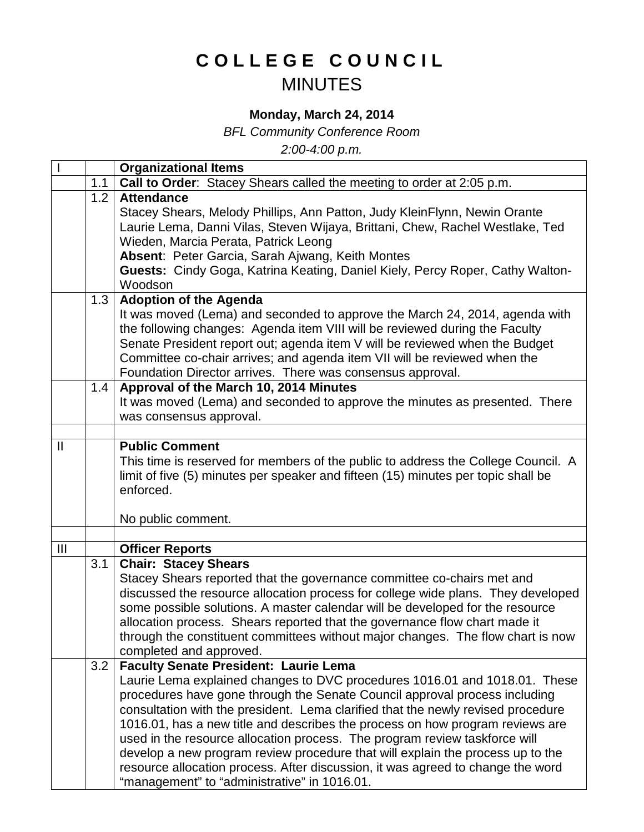## **COLLEGE COUNCIL** MINUTES

## **Monday, March 24, 2014**

*BFL Community Conference Room*

*2:00-4:00 p.m.*

|                |     | <b>Organizational Items</b>                                                                                                                                                                                                                                                                                                                                                                                                                                                                                                                                                                                                                                                      |
|----------------|-----|----------------------------------------------------------------------------------------------------------------------------------------------------------------------------------------------------------------------------------------------------------------------------------------------------------------------------------------------------------------------------------------------------------------------------------------------------------------------------------------------------------------------------------------------------------------------------------------------------------------------------------------------------------------------------------|
|                | 1.1 | Call to Order: Stacey Shears called the meeting to order at 2:05 p.m.                                                                                                                                                                                                                                                                                                                                                                                                                                                                                                                                                                                                            |
|                | 1.2 | <b>Attendance</b><br>Stacey Shears, Melody Phillips, Ann Patton, Judy KleinFlynn, Newin Orante<br>Laurie Lema, Danni Vilas, Steven Wijaya, Brittani, Chew, Rachel Westlake, Ted<br>Wieden, Marcia Perata, Patrick Leong<br>Absent: Peter Garcia, Sarah Ajwang, Keith Montes<br>Guests: Cindy Goga, Katrina Keating, Daniel Kiely, Percy Roper, Cathy Walton-<br>Woodson                                                                                                                                                                                                                                                                                                          |
|                | 1.3 | <b>Adoption of the Agenda</b><br>It was moved (Lema) and seconded to approve the March 24, 2014, agenda with<br>the following changes: Agenda item VIII will be reviewed during the Faculty<br>Senate President report out; agenda item V will be reviewed when the Budget<br>Committee co-chair arrives; and agenda item VII will be reviewed when the<br>Foundation Director arrives. There was consensus approval.                                                                                                                                                                                                                                                            |
|                | 1.4 | Approval of the March 10, 2014 Minutes<br>It was moved (Lema) and seconded to approve the minutes as presented. There<br>was consensus approval.                                                                                                                                                                                                                                                                                                                                                                                                                                                                                                                                 |
|                |     |                                                                                                                                                                                                                                                                                                                                                                                                                                                                                                                                                                                                                                                                                  |
| $\mathbf{I}$   |     | <b>Public Comment</b><br>This time is reserved for members of the public to address the College Council. A<br>limit of five (5) minutes per speaker and fifteen (15) minutes per topic shall be<br>enforced.<br>No public comment.                                                                                                                                                                                                                                                                                                                                                                                                                                               |
|                |     |                                                                                                                                                                                                                                                                                                                                                                                                                                                                                                                                                                                                                                                                                  |
| $\mathbf{III}$ |     | <b>Officer Reports</b>                                                                                                                                                                                                                                                                                                                                                                                                                                                                                                                                                                                                                                                           |
|                | 3.1 | <b>Chair: Stacey Shears</b><br>Stacey Shears reported that the governance committee co-chairs met and<br>discussed the resource allocation process for college wide plans. They developed<br>some possible solutions. A master calendar will be developed for the resource<br>allocation process. Shears reported that the governance flow chart made it<br>through the constituent committees without major changes. The flow chart is now<br>completed and approved.                                                                                                                                                                                                           |
|                | 3.2 | <b>Faculty Senate President: Laurie Lema</b><br>Laurie Lema explained changes to DVC procedures 1016.01 and 1018.01. These<br>procedures have gone through the Senate Council approval process including<br>consultation with the president. Lema clarified that the newly revised procedure<br>1016.01, has a new title and describes the process on how program reviews are<br>used in the resource allocation process. The program review taskforce will<br>develop a new program review procedure that will explain the process up to the<br>resource allocation process. After discussion, it was agreed to change the word<br>"management" to "administrative" in 1016.01. |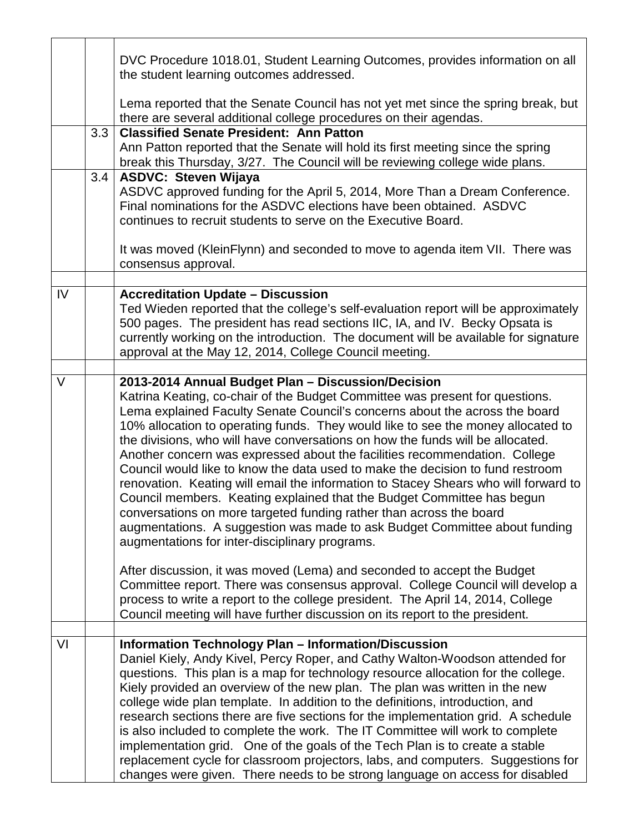|        |     | DVC Procedure 1018.01, Student Learning Outcomes, provides information on all<br>the student learning outcomes addressed.                                                                                                                                                                                                                                                                                                                                                                                                                                                                                                                                                                                                                                                                                                                                                                                                       |
|--------|-----|---------------------------------------------------------------------------------------------------------------------------------------------------------------------------------------------------------------------------------------------------------------------------------------------------------------------------------------------------------------------------------------------------------------------------------------------------------------------------------------------------------------------------------------------------------------------------------------------------------------------------------------------------------------------------------------------------------------------------------------------------------------------------------------------------------------------------------------------------------------------------------------------------------------------------------|
|        |     | Lema reported that the Senate Council has not yet met since the spring break, but<br>there are several additional college procedures on their agendas.                                                                                                                                                                                                                                                                                                                                                                                                                                                                                                                                                                                                                                                                                                                                                                          |
|        | 3.3 | <b>Classified Senate President: Ann Patton</b><br>Ann Patton reported that the Senate will hold its first meeting since the spring<br>break this Thursday, 3/27. The Council will be reviewing college wide plans.                                                                                                                                                                                                                                                                                                                                                                                                                                                                                                                                                                                                                                                                                                              |
|        | 3.4 | <b>ASDVC: Steven Wijaya</b><br>ASDVC approved funding for the April 5, 2014, More Than a Dream Conference.<br>Final nominations for the ASDVC elections have been obtained. ASDVC<br>continues to recruit students to serve on the Executive Board.                                                                                                                                                                                                                                                                                                                                                                                                                                                                                                                                                                                                                                                                             |
|        |     | It was moved (KleinFlynn) and seconded to move to agenda item VII. There was<br>consensus approval.                                                                                                                                                                                                                                                                                                                                                                                                                                                                                                                                                                                                                                                                                                                                                                                                                             |
| IV     |     | <b>Accreditation Update - Discussion</b><br>Ted Wieden reported that the college's self-evaluation report will be approximately<br>500 pages. The president has read sections IIC, IA, and IV. Becky Opsata is<br>currently working on the introduction. The document will be available for signature<br>approval at the May 12, 2014, College Council meeting.                                                                                                                                                                                                                                                                                                                                                                                                                                                                                                                                                                 |
| $\vee$ |     | 2013-2014 Annual Budget Plan - Discussion/Decision<br>Katrina Keating, co-chair of the Budget Committee was present for questions.<br>Lema explained Faculty Senate Council's concerns about the across the board<br>10% allocation to operating funds. They would like to see the money allocated to<br>the divisions, who will have conversations on how the funds will be allocated.<br>Another concern was expressed about the facilities recommendation. College<br>Council would like to know the data used to make the decision to fund restroom<br>renovation. Keating will email the information to Stacey Shears who will forward to<br>Council members. Keating explained that the Budget Committee has begun<br>conversations on more targeted funding rather than across the board<br>augmentations. A suggestion was made to ask Budget Committee about funding<br>augmentations for inter-disciplinary programs. |
|        |     | After discussion, it was moved (Lema) and seconded to accept the Budget<br>Committee report. There was consensus approval. College Council will develop a<br>process to write a report to the college president. The April 14, 2014, College<br>Council meeting will have further discussion on its report to the president.                                                                                                                                                                                                                                                                                                                                                                                                                                                                                                                                                                                                    |
| VI     |     | <b>Information Technology Plan - Information/Discussion</b><br>Daniel Kiely, Andy Kivel, Percy Roper, and Cathy Walton-Woodson attended for<br>questions. This plan is a map for technology resource allocation for the college.<br>Kiely provided an overview of the new plan. The plan was written in the new<br>college wide plan template. In addition to the definitions, introduction, and<br>research sections there are five sections for the implementation grid. A schedule<br>is also included to complete the work. The IT Committee will work to complete<br>implementation grid. One of the goals of the Tech Plan is to create a stable<br>replacement cycle for classroom projectors, labs, and computers. Suggestions for<br>changes were given. There needs to be strong language on access for disabled                                                                                                      |

Г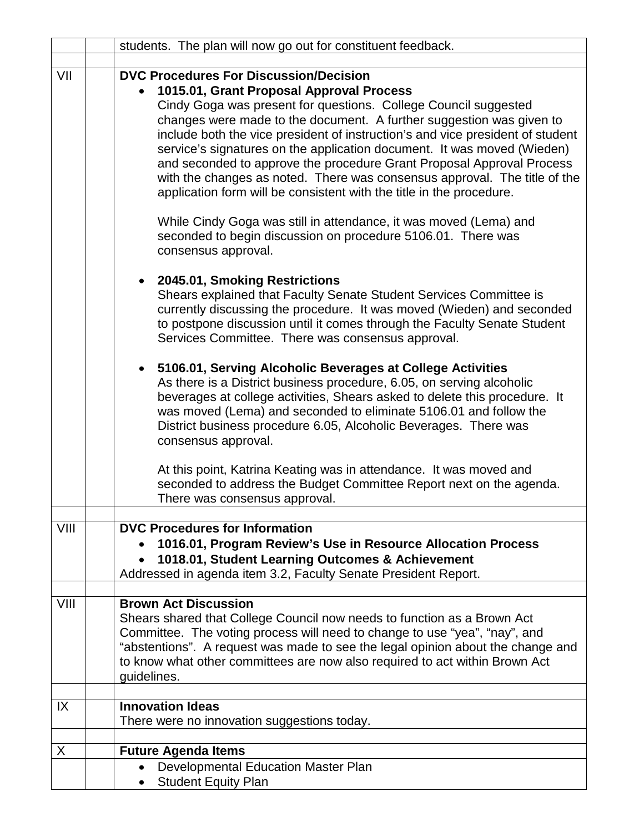|               | students. The plan will now go out for constituent feedback.                                                                                                                                                                                                                                                                                                                                                                                                                                                                                                                                                                                                                                                                                                                                                                                                                                                                                                                 |
|---------------|------------------------------------------------------------------------------------------------------------------------------------------------------------------------------------------------------------------------------------------------------------------------------------------------------------------------------------------------------------------------------------------------------------------------------------------------------------------------------------------------------------------------------------------------------------------------------------------------------------------------------------------------------------------------------------------------------------------------------------------------------------------------------------------------------------------------------------------------------------------------------------------------------------------------------------------------------------------------------|
|               |                                                                                                                                                                                                                                                                                                                                                                                                                                                                                                                                                                                                                                                                                                                                                                                                                                                                                                                                                                              |
| VII           | <b>DVC Procedures For Discussion/Decision</b><br>1015.01, Grant Proposal Approval Process<br>Cindy Goga was present for questions. College Council suggested<br>changes were made to the document. A further suggestion was given to<br>include both the vice president of instruction's and vice president of student<br>service's signatures on the application document. It was moved (Wieden)<br>and seconded to approve the procedure Grant Proposal Approval Process<br>with the changes as noted. There was consensus approval. The title of the<br>application form will be consistent with the title in the procedure.<br>While Cindy Goga was still in attendance, it was moved (Lema) and<br>seconded to begin discussion on procedure 5106.01. There was<br>consensus approval.<br>2045.01, Smoking Restrictions<br>Shears explained that Faculty Senate Student Services Committee is<br>currently discussing the procedure. It was moved (Wieden) and seconded |
|               | to postpone discussion until it comes through the Faculty Senate Student<br>Services Committee. There was consensus approval.<br>5106.01, Serving Alcoholic Beverages at College Activities<br>$\bullet$<br>As there is a District business procedure, 6.05, on serving alcoholic<br>beverages at college activities, Shears asked to delete this procedure. It<br>was moved (Lema) and seconded to eliminate 5106.01 and follow the<br>District business procedure 6.05, Alcoholic Beverages. There was<br>consensus approval.                                                                                                                                                                                                                                                                                                                                                                                                                                              |
|               | At this point, Katrina Keating was in attendance. It was moved and<br>seconded to address the Budget Committee Report next on the agenda.<br>There was consensus approval.                                                                                                                                                                                                                                                                                                                                                                                                                                                                                                                                                                                                                                                                                                                                                                                                   |
| VIII          | <b>DVC Procedures for Information</b><br>1016.01, Program Review's Use in Resource Allocation Process<br>1018.01, Student Learning Outcomes & Achievement<br>Addressed in agenda item 3.2, Faculty Senate President Report.                                                                                                                                                                                                                                                                                                                                                                                                                                                                                                                                                                                                                                                                                                                                                  |
| VIII          | <b>Brown Act Discussion</b><br>Shears shared that College Council now needs to function as a Brown Act<br>Committee. The voting process will need to change to use "yea", "nay", and<br>"abstentions". A request was made to see the legal opinion about the change and<br>to know what other committees are now also required to act within Brown Act<br>guidelines.                                                                                                                                                                                                                                                                                                                                                                                                                                                                                                                                                                                                        |
| $\mathsf{IX}$ | <b>Innovation Ideas</b><br>There were no innovation suggestions today.                                                                                                                                                                                                                                                                                                                                                                                                                                                                                                                                                                                                                                                                                                                                                                                                                                                                                                       |
| X             | <b>Future Agenda Items</b>                                                                                                                                                                                                                                                                                                                                                                                                                                                                                                                                                                                                                                                                                                                                                                                                                                                                                                                                                   |
|               | Developmental Education Master Plan                                                                                                                                                                                                                                                                                                                                                                                                                                                                                                                                                                                                                                                                                                                                                                                                                                                                                                                                          |
|               | <b>Student Equity Plan</b>                                                                                                                                                                                                                                                                                                                                                                                                                                                                                                                                                                                                                                                                                                                                                                                                                                                                                                                                                   |